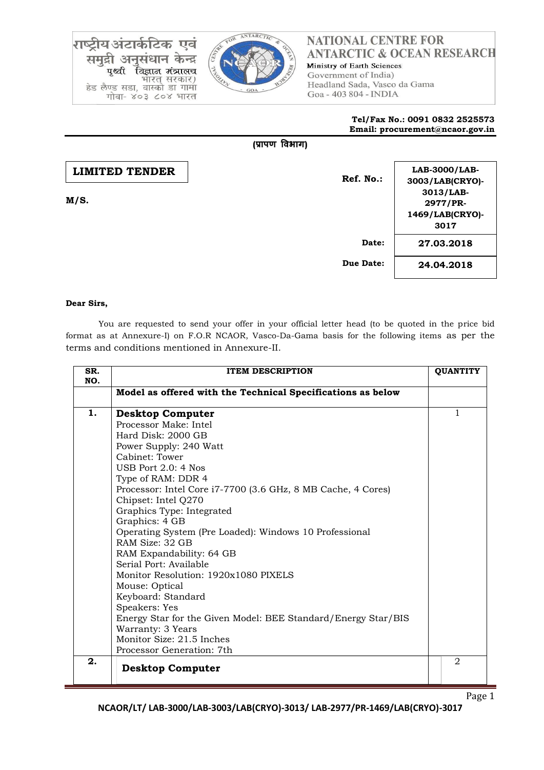राष्ट्रीय अंटार्कटिक एवं समुद्री अनुसंधान केन्द्र पृथ्वी विज्ञान मंत्रालच भारत सरकार) हेड लैण्ड सडा, वास्को डा गामा गोवा- ४०३ ८०४ भारत



# **NATIONAL CENTRE FOR ANTARCTIC & OCEAN RESEARCH** Ministry of Earth Sciences

Government of India) Headland Sada, Vasco da Gama Goa - 403 804 - INDIA

#### **Tel/Fax No.: 0091 0832 2525573 Email: procurement@ncaor.gov.in**

### **(प्रापण विभाग)**

| <b>LIMITED TENDER</b><br>M/S. | Ref. No.: | LAB-3000/LAB-<br>3003/LAB(CRYO)-<br>3013/LAB-<br>2977/PR-<br>1469/LAB(CRYO)-<br>3017 |
|-------------------------------|-----------|--------------------------------------------------------------------------------------|
|                               | Date:     | 27.03.2018                                                                           |
|                               | Due Date: | 24.04.2018                                                                           |

### **Dear Sirs,**

You are requested to send your offer in your official letter head (to be quoted in the price bid format as at Annexure-I) on F.O.R NCAOR, Vasco-Da-Gama basis for the following items as per the terms and conditions mentioned in Annexure-II.

| SR.<br>NO. | <b>ITEM DESCRIPTION</b>                                                                                                                                                                                                                                                                                                                                                                                                                                                                                                                                                                                                                                                                    |  |                |  |
|------------|--------------------------------------------------------------------------------------------------------------------------------------------------------------------------------------------------------------------------------------------------------------------------------------------------------------------------------------------------------------------------------------------------------------------------------------------------------------------------------------------------------------------------------------------------------------------------------------------------------------------------------------------------------------------------------------------|--|----------------|--|
|            | Model as offered with the Technical Specifications as below                                                                                                                                                                                                                                                                                                                                                                                                                                                                                                                                                                                                                                |  |                |  |
| 1.         | <b>Desktop Computer</b><br>Processor Make: Intel<br>Hard Disk: 2000 GB<br>Power Supply: 240 Watt<br>Cabinet: Tower<br>USB Port $2.0:4$ Nos<br>Type of RAM: DDR 4<br>Processor: Intel Core i7-7700 (3.6 GHz, 8 MB Cache, 4 Cores)<br>Chipset: Intel Q270<br>Graphics Type: Integrated<br>Graphics: 4 GB<br>Operating System (Pre Loaded): Windows 10 Professional<br>RAM Size: 32 GB<br>RAM Expandability: 64 GB<br>Serial Port: Available<br>Monitor Resolution: 1920x1080 PIXELS<br>Mouse: Optical<br>Keyboard: Standard<br>Speakers: Yes<br>Energy Star for the Given Model: BEE Standard/Energy Star/BIS<br>Warranty: 3 Years<br>Monitor Size: 21.5 Inches<br>Processor Generation: 7th |  | 1              |  |
| 2.         | <b>Desktop Computer</b>                                                                                                                                                                                                                                                                                                                                                                                                                                                                                                                                                                                                                                                                    |  | $\mathfrak{D}$ |  |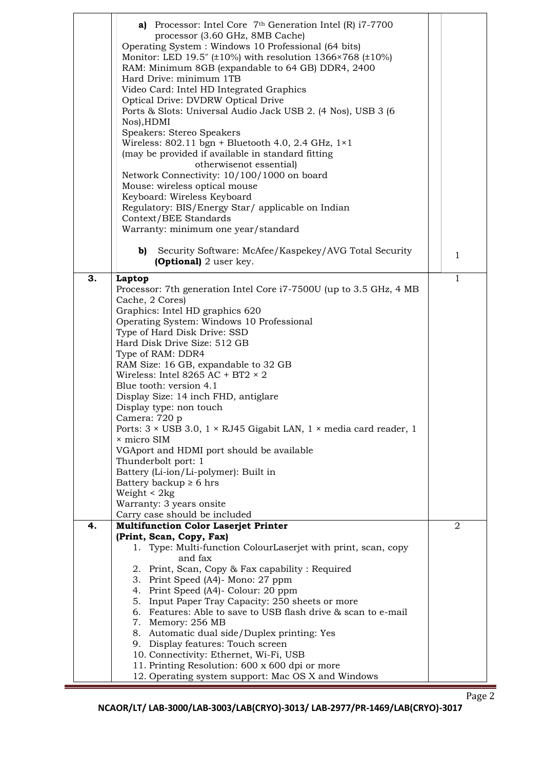|    | a) Processor: Intel Core 7th Generation Intel (R) i7-7700<br>processor (3.60 GHz, 8MB Cache)<br>Operating System: Windows 10 Professional (64 bits)<br>Monitor: LED 19.5" (±10%) with resolution 1366×768 (±10%)<br>RAM: Minimum 8GB (expandable to 64 GB) DDR4, 2400<br>Hard Drive: minimum 1TB<br>Video Card: Intel HD Integrated Graphics<br>Optical Drive: DVDRW Optical Drive<br>Ports & Slots: Universal Audio Jack USB 2. (4 Nos), USB 3 (6<br>Nos), HDMI<br>Speakers: Stereo Speakers<br>Wireless: 802.11 bgn + Bluetooth 4.0, 2.4 GHz, $1\times1$<br>(may be provided if available in standard fitting<br>otherwisenot essential) |              |  |
|----|--------------------------------------------------------------------------------------------------------------------------------------------------------------------------------------------------------------------------------------------------------------------------------------------------------------------------------------------------------------------------------------------------------------------------------------------------------------------------------------------------------------------------------------------------------------------------------------------------------------------------------------------|--------------|--|
|    | Network Connectivity: 10/100/1000 on board<br>Mouse: wireless optical mouse                                                                                                                                                                                                                                                                                                                                                                                                                                                                                                                                                                |              |  |
|    | Keyboard: Wireless Keyboard                                                                                                                                                                                                                                                                                                                                                                                                                                                                                                                                                                                                                |              |  |
|    | Regulatory: BIS/Energy Star/ applicable on Indian                                                                                                                                                                                                                                                                                                                                                                                                                                                                                                                                                                                          |              |  |
|    | Context/BEE Standards                                                                                                                                                                                                                                                                                                                                                                                                                                                                                                                                                                                                                      |              |  |
|    | Warranty: minimum one year/standard                                                                                                                                                                                                                                                                                                                                                                                                                                                                                                                                                                                                        |              |  |
|    | Security Software: McAfee/Kaspekey/AVG Total Security<br>b)<br><b>(Optional)</b> 2 user key.                                                                                                                                                                                                                                                                                                                                                                                                                                                                                                                                               | $\mathbf{1}$ |  |
| 3. | Laptop                                                                                                                                                                                                                                                                                                                                                                                                                                                                                                                                                                                                                                     | 1            |  |
|    | Processor: 7th generation Intel Core i7-7500U (up to 3.5 GHz, 4 MB                                                                                                                                                                                                                                                                                                                                                                                                                                                                                                                                                                         |              |  |
|    | Cache, 2 Cores)                                                                                                                                                                                                                                                                                                                                                                                                                                                                                                                                                                                                                            |              |  |
|    | Graphics: Intel HD graphics 620<br>Operating System: Windows 10 Professional                                                                                                                                                                                                                                                                                                                                                                                                                                                                                                                                                               |              |  |
|    | Type of Hard Disk Drive: SSD                                                                                                                                                                                                                                                                                                                                                                                                                                                                                                                                                                                                               |              |  |
|    | Hard Disk Drive Size: 512 GB                                                                                                                                                                                                                                                                                                                                                                                                                                                                                                                                                                                                               |              |  |
|    | Type of RAM: DDR4                                                                                                                                                                                                                                                                                                                                                                                                                                                                                                                                                                                                                          |              |  |
|    | RAM Size: 16 GB, expandable to 32 GB                                                                                                                                                                                                                                                                                                                                                                                                                                                                                                                                                                                                       |              |  |
|    | Wireless: Intel 8265 AC + BT2 $\times$ 2                                                                                                                                                                                                                                                                                                                                                                                                                                                                                                                                                                                                   |              |  |
|    | Blue tooth: version 4.1<br>Display Size: 14 inch FHD, antiglare                                                                                                                                                                                                                                                                                                                                                                                                                                                                                                                                                                            |              |  |
|    | Display type: non touch                                                                                                                                                                                                                                                                                                                                                                                                                                                                                                                                                                                                                    |              |  |
|    | Camera: 720 p                                                                                                                                                                                                                                                                                                                                                                                                                                                                                                                                                                                                                              |              |  |
|    | Ports: $3 \times \text{USB } 3.0$ , $1 \times \text{RJ45 }$ Gigabit LAN, $1 \times \text{media card reader}$ , 1                                                                                                                                                                                                                                                                                                                                                                                                                                                                                                                           |              |  |
|    | × micro SIM                                                                                                                                                                                                                                                                                                                                                                                                                                                                                                                                                                                                                                |              |  |
|    | VGAport and HDMI port should be available<br>Thunderbolt port: 1                                                                                                                                                                                                                                                                                                                                                                                                                                                                                                                                                                           |              |  |
|    | Battery (Li-ion/Li-polymer): Built in                                                                                                                                                                                                                                                                                                                                                                                                                                                                                                                                                                                                      |              |  |
|    | Battery backup $\geq 6$ hrs                                                                                                                                                                                                                                                                                                                                                                                                                                                                                                                                                                                                                |              |  |
|    | Weight $< 2kg$                                                                                                                                                                                                                                                                                                                                                                                                                                                                                                                                                                                                                             |              |  |
|    | Warranty: 3 years onsite                                                                                                                                                                                                                                                                                                                                                                                                                                                                                                                                                                                                                   |              |  |
| 4. | Carry case should be included<br><b>Multifunction Color Laserjet Printer</b>                                                                                                                                                                                                                                                                                                                                                                                                                                                                                                                                                               | 2            |  |
|    | (Print, Scan, Copy, Fax)                                                                                                                                                                                                                                                                                                                                                                                                                                                                                                                                                                                                                   |              |  |
|    | 1. Type: Multi-function ColourLaserjet with print, scan, copy                                                                                                                                                                                                                                                                                                                                                                                                                                                                                                                                                                              |              |  |
|    | and fax                                                                                                                                                                                                                                                                                                                                                                                                                                                                                                                                                                                                                                    |              |  |
|    | 2. Print, Scan, Copy & Fax capability: Required<br>3. Print Speed (A4)- Mono: 27 ppm                                                                                                                                                                                                                                                                                                                                                                                                                                                                                                                                                       |              |  |
|    | 4. Print Speed (A4)- Colour: 20 ppm                                                                                                                                                                                                                                                                                                                                                                                                                                                                                                                                                                                                        |              |  |
|    | 5. Input Paper Tray Capacity: 250 sheets or more                                                                                                                                                                                                                                                                                                                                                                                                                                                                                                                                                                                           |              |  |
|    | 6. Features: Able to save to USB flash drive & scan to e-mail                                                                                                                                                                                                                                                                                                                                                                                                                                                                                                                                                                              |              |  |
|    | 7. Memory: 256 MB                                                                                                                                                                                                                                                                                                                                                                                                                                                                                                                                                                                                                          |              |  |
|    | 8. Automatic dual side/Duplex printing: Yes<br>9. Display features: Touch screen                                                                                                                                                                                                                                                                                                                                                                                                                                                                                                                                                           |              |  |
|    | 10. Connectivity: Ethernet, Wi-Fi, USB                                                                                                                                                                                                                                                                                                                                                                                                                                                                                                                                                                                                     |              |  |
|    | 11. Printing Resolution: 600 x 600 dpi or more                                                                                                                                                                                                                                                                                                                                                                                                                                                                                                                                                                                             |              |  |
|    | 12. Operating system support: Mac OS X and Windows                                                                                                                                                                                                                                                                                                                                                                                                                                                                                                                                                                                         |              |  |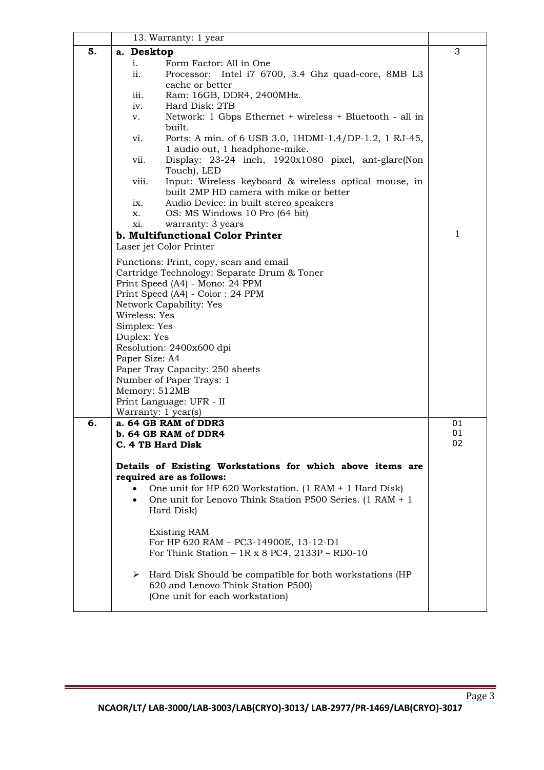|    | 13. Warranty: 1 year                                                                                      |    |  |  |  |
|----|-----------------------------------------------------------------------------------------------------------|----|--|--|--|
| 5. | a. Desktop                                                                                                | 3  |  |  |  |
|    | Form Factor: All in One<br>i.                                                                             |    |  |  |  |
|    | ii.<br>Processor: Intel i7 6700, 3.4 Ghz quad-core, 8MB L3<br>cache or better                             |    |  |  |  |
|    | Ram: 16GB, DDR4, 2400MHz.<br>iii.                                                                         |    |  |  |  |
|    | Hard Disk: 2TB<br>iv.                                                                                     |    |  |  |  |
|    | Network: 1 Gbps Ethernet + wireless + Bluetooth - all in<br>v.                                            |    |  |  |  |
|    | built.                                                                                                    |    |  |  |  |
|    | Ports: A min. of 6 USB 3.0, 1HDMI-1.4/DP-1.2, 1 RJ-45,<br>vi.                                             |    |  |  |  |
|    | 1 audio out, 1 headphone-mike.                                                                            |    |  |  |  |
|    | Display: 23-24 inch, 1920x1080 pixel, ant-glare(Non<br>vii.<br>Touch), LED                                |    |  |  |  |
|    | Input: Wireless keyboard & wireless optical mouse, in<br>viii.<br>built 2MP HD camera with mike or better |    |  |  |  |
|    | Audio Device: in built stereo speakers<br>ix.                                                             |    |  |  |  |
|    | OS: MS Windows 10 Pro (64 bit)<br>X.                                                                      |    |  |  |  |
|    | warranty: 3 years<br>xi.                                                                                  | 1  |  |  |  |
|    | b. Multifunctional Color Printer<br>Laser jet Color Printer                                               |    |  |  |  |
|    |                                                                                                           |    |  |  |  |
|    | Functions: Print, copy, scan and email                                                                    |    |  |  |  |
|    | Cartridge Technology: Separate Drum & Toner<br>Print Speed (A4) - Mono: 24 PPM                            |    |  |  |  |
|    | Print Speed (A4) - Color: 24 PPM                                                                          |    |  |  |  |
|    | Network Capability: Yes                                                                                   |    |  |  |  |
|    | Wireless: Yes                                                                                             |    |  |  |  |
|    | Simplex: Yes                                                                                              |    |  |  |  |
|    | Duplex: Yes                                                                                               |    |  |  |  |
|    | Resolution: 2400x600 dpi                                                                                  |    |  |  |  |
|    | Paper Size: A4<br>Paper Tray Capacity: 250 sheets                                                         |    |  |  |  |
|    | Number of Paper Trays: 1                                                                                  |    |  |  |  |
|    | Memory: 512MB                                                                                             |    |  |  |  |
|    | Print Language: UFR - II                                                                                  |    |  |  |  |
|    | Warranty: 1 year(s)                                                                                       |    |  |  |  |
| 6. | a. 64 GB RAM of DDR3                                                                                      | 01 |  |  |  |
|    | b. 64 GB RAM of DDR4                                                                                      | 01 |  |  |  |
|    | C. 4 TB Hard Disk                                                                                         | 02 |  |  |  |
|    | Details of Existing Workstations for which above items are                                                |    |  |  |  |
|    | required are as follows:                                                                                  |    |  |  |  |
|    | One unit for HP 620 Workstation. (1 RAM + 1 Hard Disk)                                                    |    |  |  |  |
|    | One unit for Lenovo Think Station P500 Series. (1 RAM + 1<br>$\bullet$<br>Hard Disk)                      |    |  |  |  |
|    | <b>Existing RAM</b>                                                                                       |    |  |  |  |
|    | For HP 620 RAM - PC3-14900E, 13-12-D1                                                                     |    |  |  |  |
|    | For Think Station – $1R \times 8$ PC4, 2133P – RD0-10                                                     |    |  |  |  |
|    | $\triangleright$ Hard Disk Should be compatible for both workstations (HP                                 |    |  |  |  |
|    | 620 and Lenovo Think Station P500)                                                                        |    |  |  |  |
|    | (One unit for each workstation)                                                                           |    |  |  |  |
|    |                                                                                                           |    |  |  |  |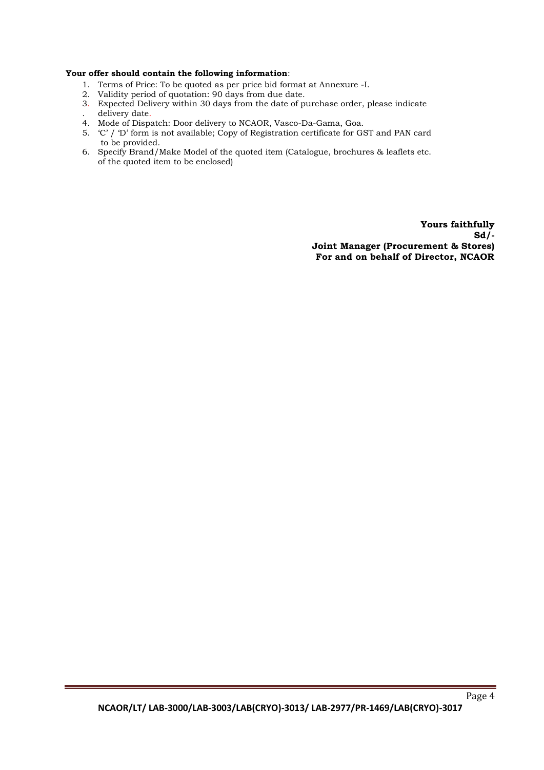#### **Your offer should contain the following information**:

- 1. Terms of Price: To be quoted as per price bid format at Annexure -I.
- 2. Validity period of quotation: 90 days from due date.
- 3. Expected Delivery within 30 days from the date of purchase order, please indicate . delivery date.
- 4. Mode of Dispatch: Door delivery to NCAOR, Vasco-Da-Gama, Goa.
- 5. 'C' / 'D' form is not available; Copy of Registration certificate for GST and PAN card to be provided.
- 6. Specify Brand/Make Model of the quoted item (Catalogue, brochures & leaflets etc. of the quoted item to be enclosed)

**Yours faithfully Sd/- Joint Manager (Procurement & Stores) For and on behalf of Director, NCAOR**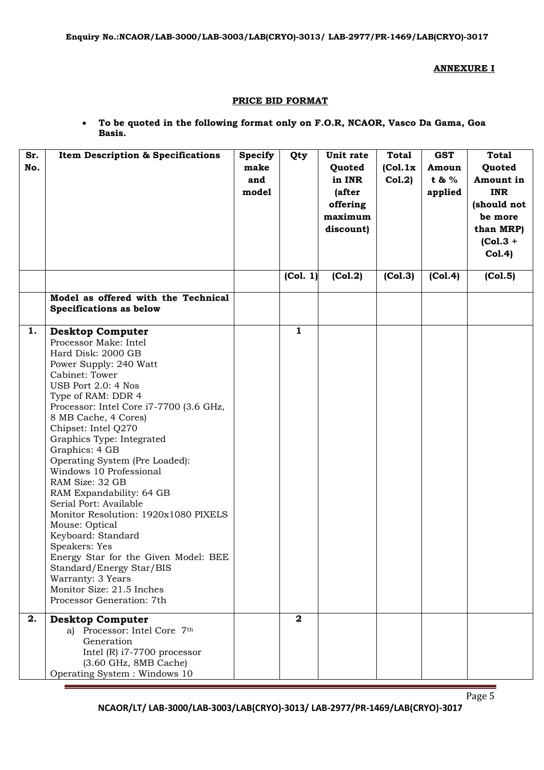#### **ANNEXURE I**

#### **PRICE BID FORMAT**

 **To be quoted in the following format only on F.O.R, NCAOR, Vasco Da Gama, Goa Basis.**

| Sr.<br>No. | <b>Item Description &amp; Specifications</b>                                                                                                                                                                                                                                                                                                                                                                                                                                                                                                                                                                                                                                                       | <b>Specify</b><br>make<br>and<br>model | Qty                     | Unit rate<br>Quoted<br>in INR<br>(after<br>offering<br>maximum<br>discount) | <b>Total</b><br>(Col.1x)<br>Col.2) | <b>GST</b><br>Amoun<br>t & %<br>applied | <b>Total</b><br>Quoted<br>Amount in<br><b>INR</b><br>(should not<br>be more<br>than MRP)<br>$(Col.3 +$<br>Col.4) |
|------------|----------------------------------------------------------------------------------------------------------------------------------------------------------------------------------------------------------------------------------------------------------------------------------------------------------------------------------------------------------------------------------------------------------------------------------------------------------------------------------------------------------------------------------------------------------------------------------------------------------------------------------------------------------------------------------------------------|----------------------------------------|-------------------------|-----------------------------------------------------------------------------|------------------------------------|-----------------------------------------|------------------------------------------------------------------------------------------------------------------|
|            |                                                                                                                                                                                                                                                                                                                                                                                                                                                                                                                                                                                                                                                                                                    |                                        | (Col. 1)                | (Col.2)                                                                     | (Col.3)                            | (Col.4)                                 | (Col.5)                                                                                                          |
|            | Model as offered with the Technical<br>Specifications as below                                                                                                                                                                                                                                                                                                                                                                                                                                                                                                                                                                                                                                     |                                        |                         |                                                                             |                                    |                                         |                                                                                                                  |
| 1.         | <b>Desktop Computer</b><br>Processor Make: Intel<br>Hard Disk: 2000 GB<br>Power Supply: 240 Watt<br>Cabinet: Tower<br>USB Port 2.0: 4 Nos<br>Type of RAM: DDR 4<br>Processor: Intel Core i7-7700 (3.6 GHz,<br>8 MB Cache, 4 Cores)<br>Chipset: Intel Q270<br>Graphics Type: Integrated<br>Graphics: 4 GB<br>Operating System (Pre Loaded):<br>Windows 10 Professional<br>RAM Size: 32 GB<br>RAM Expandability: 64 GB<br>Serial Port: Available<br>Monitor Resolution: 1920x1080 PIXELS<br>Mouse: Optical<br>Keyboard: Standard<br>Speakers: Yes<br>Energy Star for the Given Model: BEE<br>Standard/Energy Star/BIS<br>Warranty: 3 Years<br>Monitor Size: 21.5 Inches<br>Processor Generation: 7th |                                        | $\mathbf{1}$            |                                                                             |                                    |                                         |                                                                                                                  |
| 2.         | <b>Desktop Computer</b><br>a) Processor: Intel Core 7th<br>Generation<br>Intel $(R)$ i7-7700 processor<br>(3.60 GHz, 8MB Cache)<br>Operating System : Windows 10                                                                                                                                                                                                                                                                                                                                                                                                                                                                                                                                   |                                        | $\overline{\mathbf{2}}$ |                                                                             |                                    |                                         |                                                                                                                  |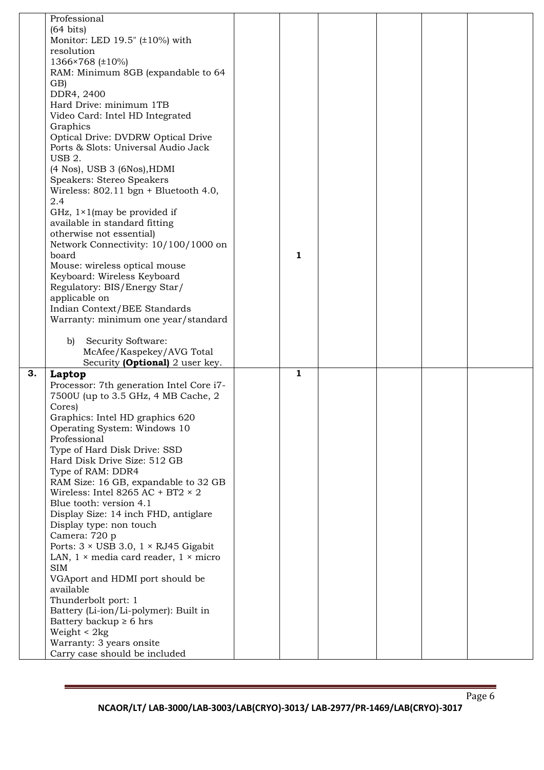|    | Professional                                                        |   |  |  |
|----|---------------------------------------------------------------------|---|--|--|
|    | $(64 \text{ bits})$                                                 |   |  |  |
|    | Monitor: LED 19.5" $(\pm 10\%)$ with                                |   |  |  |
|    | resolution                                                          |   |  |  |
|    | 1366×768 (±10%)                                                     |   |  |  |
|    | RAM: Minimum 8GB (expandable to 64                                  |   |  |  |
|    |                                                                     |   |  |  |
|    | GB)                                                                 |   |  |  |
|    | DDR4, 2400                                                          |   |  |  |
|    | Hard Drive: minimum 1TB                                             |   |  |  |
|    | Video Card: Intel HD Integrated                                     |   |  |  |
|    | Graphics                                                            |   |  |  |
|    | Optical Drive: DVDRW Optical Drive                                  |   |  |  |
|    | Ports & Slots: Universal Audio Jack                                 |   |  |  |
|    | USB <sub>2</sub> .                                                  |   |  |  |
|    | $(4$ Nos), USB 3 $(6$ Nos), HDMI                                    |   |  |  |
|    | Speakers: Stereo Speakers                                           |   |  |  |
|    | Wireless: $802.11 \text{ bgn} + \text{Bluetooth } 4.0$ ,            |   |  |  |
|    | 2.4                                                                 |   |  |  |
|    | GHz, $1 \times 1$ (may be provided if                               |   |  |  |
|    | available in standard fitting                                       |   |  |  |
|    | otherwise not essential)                                            |   |  |  |
|    | Network Connectivity: 10/100/1000 on                                |   |  |  |
|    | board                                                               | 1 |  |  |
|    | Mouse: wireless optical mouse                                       |   |  |  |
|    | Keyboard: Wireless Keyboard                                         |   |  |  |
|    | Regulatory: BIS/Energy Star/                                        |   |  |  |
|    | applicable on                                                       |   |  |  |
|    |                                                                     |   |  |  |
|    | Indian Context/BEE Standards                                        |   |  |  |
|    | Warranty: minimum one year/standard                                 |   |  |  |
|    |                                                                     |   |  |  |
|    | Security Software:<br>b)                                            |   |  |  |
|    | McAfee/Kaspekey/AVG Total                                           |   |  |  |
|    | Security (Optional) 2 user key.                                     |   |  |  |
| 3. | Laptop                                                              | 1 |  |  |
|    | Processor: 7th generation Intel Core i7-                            |   |  |  |
|    | 7500U (up to 3.5 GHz, 4 MB Cache, 2                                 |   |  |  |
|    | Cores)                                                              |   |  |  |
|    | Graphics: Intel HD graphics 620                                     |   |  |  |
|    | Operating System: Windows 10                                        |   |  |  |
|    | Professional                                                        |   |  |  |
|    | Type of Hard Disk Drive: SSD                                        |   |  |  |
|    | Hard Disk Drive Size: 512 GB                                        |   |  |  |
|    | Type of RAM: DDR4                                                   |   |  |  |
|    | RAM Size: 16 GB, expandable to 32 GB                                |   |  |  |
|    | Wireless: Intel 8265 AC + BT2 $\times$ 2                            |   |  |  |
|    | Blue tooth: version 4.1                                             |   |  |  |
|    | Display Size: 14 inch FHD, antiglare                                |   |  |  |
|    | Display type: non touch                                             |   |  |  |
|    | Camera: 720 p                                                       |   |  |  |
|    |                                                                     |   |  |  |
|    |                                                                     |   |  |  |
|    | Ports: $3 \times \text{USB } 3.0$ , $1 \times \text{RJ} 45$ Gigabit |   |  |  |
|    | LAN, $1 \times$ media card reader, $1 \times$ micro                 |   |  |  |
|    | <b>SIM</b>                                                          |   |  |  |
|    | VGAport and HDMI port should be                                     |   |  |  |
|    | available                                                           |   |  |  |
|    | Thunderbolt port: 1                                                 |   |  |  |
|    | Battery (Li-ion/Li-polymer): Built in                               |   |  |  |
|    | Battery backup $\geq 6$ hrs                                         |   |  |  |
|    | Weight $< 2kg$                                                      |   |  |  |
|    | Warranty: 3 years onsite<br>Carry case should be included           |   |  |  |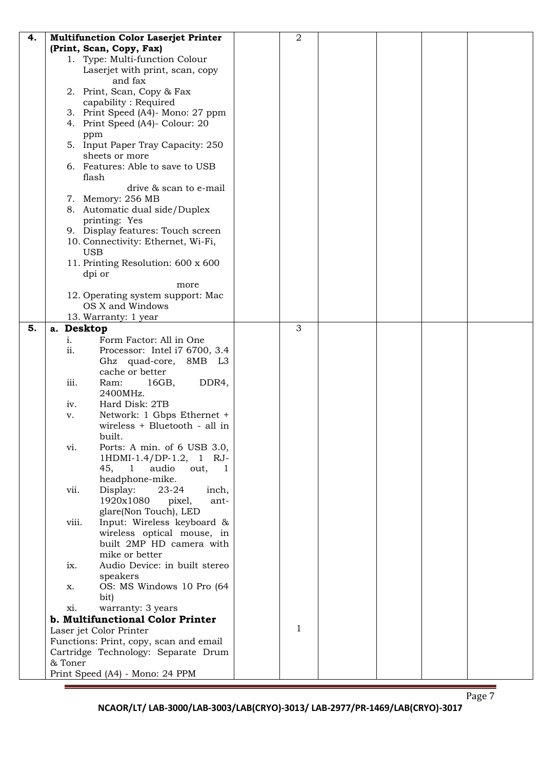| 4. | <b>Multifunction Color Laserjet Printer</b> | 2 |  |  |
|----|---------------------------------------------|---|--|--|
|    | (Print, Scan, Copy, Fax)                    |   |  |  |
|    | 1. Type: Multi-function Colour              |   |  |  |
|    | Laserjet with print, scan, copy             |   |  |  |
|    | and fax                                     |   |  |  |
|    | 2. Print, Scan, Copy & Fax                  |   |  |  |
|    | capability: Required                        |   |  |  |
|    | 3. Print Speed (A4)- Mono: 27 ppm           |   |  |  |
|    | 4. Print Speed (A4)- Colour: 20             |   |  |  |
|    | ppm                                         |   |  |  |
|    | 5. Input Paper Tray Capacity: 250           |   |  |  |
|    | sheets or more                              |   |  |  |
|    | 6. Features: Able to save to USB            |   |  |  |
|    | flash                                       |   |  |  |
|    | drive & scan to e-mail                      |   |  |  |
|    | 7. Memory: 256 MB                           |   |  |  |
|    | 8. Automatic dual side/Duplex               |   |  |  |
|    | printing: Yes                               |   |  |  |
|    | 9. Display features: Touch screen           |   |  |  |
|    | 10. Connectivity: Ethernet, Wi-Fi,          |   |  |  |
|    | <b>USB</b>                                  |   |  |  |
|    | 11. Printing Resolution: 600 x 600          |   |  |  |
|    | dpi or                                      |   |  |  |
|    | more                                        |   |  |  |
|    | 12. Operating system support: Mac           |   |  |  |
|    | OS X and Windows                            |   |  |  |
|    | 13. Warranty: 1 year                        |   |  |  |
| 5. | a. Desktop                                  | 3 |  |  |
|    | Form Factor: All in One<br>i.               |   |  |  |
|    | ii.<br>Processor: Intel i7 6700, 3.4        |   |  |  |
|    | Ghz quad-core, 8MB<br>L3                    |   |  |  |
|    | cache or better                             |   |  |  |
|    | iii.<br>16GB,<br>DDR4,<br>Ram:              |   |  |  |
|    | 2400MHz.                                    |   |  |  |
|    | Hard Disk: 2TB<br>iv.                       |   |  |  |
|    | Network: 1 Gbps Ethernet +<br>v.            |   |  |  |
|    | wireless + Bluetooth - all in               |   |  |  |
|    | built.                                      |   |  |  |
|    | Ports: A min. of 6 USB 3.0,<br>vi.          |   |  |  |
|    | 1HDMI-1.4/DP-1.2, 1 RJ-                     |   |  |  |
|    | audio<br>45,<br>out,<br>$\mathbf{1}$<br>1   |   |  |  |
|    | headphone-mike.                             |   |  |  |
|    | Display:<br>23-24<br>vii.<br>inch,          |   |  |  |
|    | 1920x1080<br>pixel,<br>ant-                 |   |  |  |
|    | glare(Non Touch), LED                       |   |  |  |
|    | Input: Wireless keyboard &<br>viii.         |   |  |  |
|    | wireless optical mouse, in                  |   |  |  |
|    | built 2MP HD camera with                    |   |  |  |
|    | mike or better                              |   |  |  |
|    | Audio Device: in built stereo<br>ix.        |   |  |  |
|    | speakers                                    |   |  |  |
|    | OS: MS Windows 10 Pro (64<br>X.             |   |  |  |
|    | bit)                                        |   |  |  |
|    | warranty: 3 years<br>xi.                    |   |  |  |
|    | b. Multifunctional Color Printer            | 1 |  |  |
|    | Laser jet Color Printer                     |   |  |  |
|    | Functions: Print, copy, scan and email      |   |  |  |
|    | Cartridge Technology: Separate Drum         |   |  |  |
|    | & Toner                                     |   |  |  |
|    | Print Speed (A4) - Mono: 24 PPM             |   |  |  |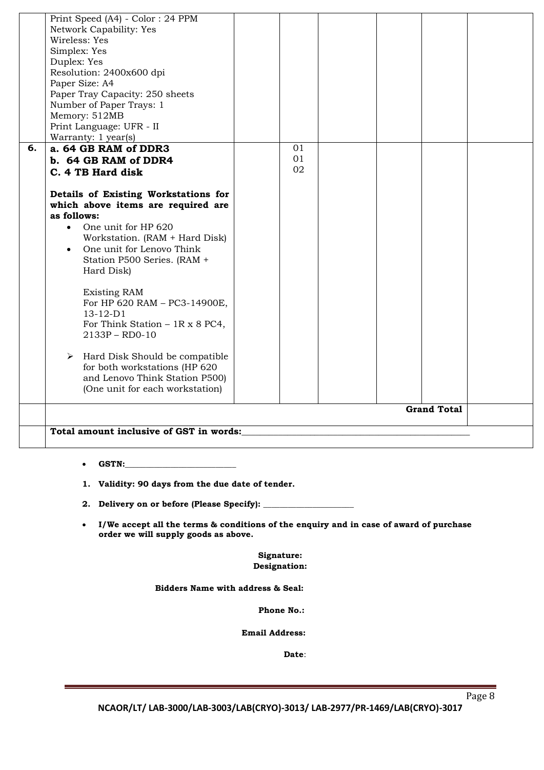|    | Print Speed (A4) - Color: 24 PPM                                                        |    |  |                    |  |
|----|-----------------------------------------------------------------------------------------|----|--|--------------------|--|
|    | Network Capability: Yes                                                                 |    |  |                    |  |
|    | Wireless: Yes                                                                           |    |  |                    |  |
|    | Simplex: Yes                                                                            |    |  |                    |  |
|    | Duplex: Yes                                                                             |    |  |                    |  |
|    |                                                                                         |    |  |                    |  |
|    | Resolution: 2400x600 dpi                                                                |    |  |                    |  |
|    | Paper Size: A4                                                                          |    |  |                    |  |
|    | Paper Tray Capacity: 250 sheets                                                         |    |  |                    |  |
|    | Number of Paper Trays: 1                                                                |    |  |                    |  |
|    | Memory: 512MB                                                                           |    |  |                    |  |
|    | Print Language: UFR - II                                                                |    |  |                    |  |
|    | Warranty: 1 year(s)                                                                     |    |  |                    |  |
| 6. | a. 64 GB RAM of DDR3                                                                    | 01 |  |                    |  |
|    | b. 64 GB RAM of DDR4                                                                    | 01 |  |                    |  |
|    |                                                                                         | 02 |  |                    |  |
|    | C. 4 TB Hard disk                                                                       |    |  |                    |  |
|    |                                                                                         |    |  |                    |  |
|    | Details of Existing Workstations for                                                    |    |  |                    |  |
|    | which above items are required are                                                      |    |  |                    |  |
|    | as follows:                                                                             |    |  |                    |  |
|    | One unit for HP 620<br>$\bullet$                                                        |    |  |                    |  |
|    | Workstation. (RAM + Hard Disk)                                                          |    |  |                    |  |
|    | One unit for Lenovo Think<br>$\bullet$                                                  |    |  |                    |  |
|    |                                                                                         |    |  |                    |  |
|    | Station P500 Series. (RAM +                                                             |    |  |                    |  |
|    | Hard Disk)                                                                              |    |  |                    |  |
|    |                                                                                         |    |  |                    |  |
|    | <b>Existing RAM</b>                                                                     |    |  |                    |  |
|    | For HP 620 RAM - PC3-14900E,                                                            |    |  |                    |  |
|    | $13 - 12 - D1$                                                                          |    |  |                    |  |
|    | For Think Station $-1R \times 8$ PC4,                                                   |    |  |                    |  |
|    | 2133P - RD0-10                                                                          |    |  |                    |  |
|    |                                                                                         |    |  |                    |  |
|    | Hard Disk Should be compatible<br>➤                                                     |    |  |                    |  |
|    | for both workstations (HP 620                                                           |    |  |                    |  |
|    | and Lenovo Think Station P500)                                                          |    |  |                    |  |
|    | (One unit for each workstation)                                                         |    |  |                    |  |
|    |                                                                                         |    |  |                    |  |
|    |                                                                                         |    |  | <b>Grand Total</b> |  |
|    |                                                                                         |    |  |                    |  |
|    |                                                                                         |    |  |                    |  |
|    | Total amount inclusive of GST in words: which is a set of the contract of GST in words: |    |  |                    |  |
|    |                                                                                         |    |  |                    |  |
|    |                                                                                         |    |  |                    |  |
|    |                                                                                         |    |  |                    |  |
|    |                                                                                         |    |  |                    |  |
|    | 1. Validity: 90 days from the due date of tender.                                       |    |  |                    |  |
|    |                                                                                         |    |  |                    |  |
|    |                                                                                         |    |  |                    |  |

 **I/We accept all the terms & conditions of the enquiry and in case of award of purchase order we will supply goods as above.**

> **Signature: Designation:**

 **Bidders Name with address & Seal:**

**Phone No.:**

 **Email Address:**

*Date:* **Date:**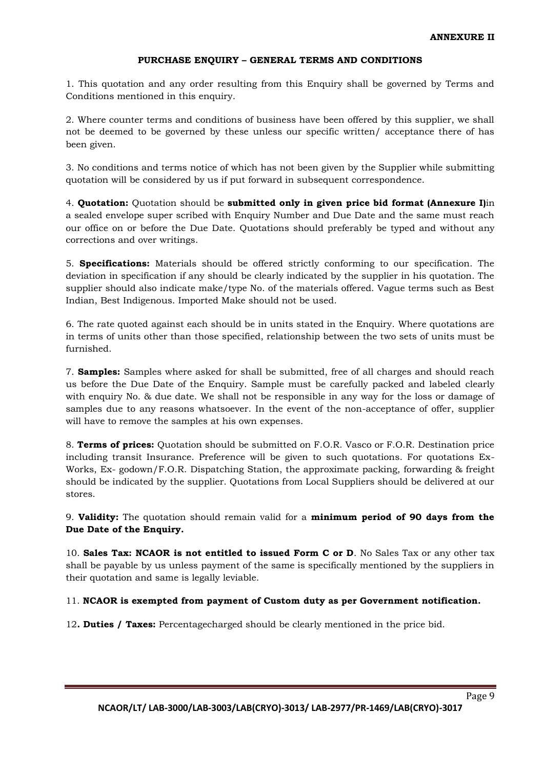### **PURCHASE ENQUIRY – GENERAL TERMS AND CONDITIONS**

1. This quotation and any order resulting from this Enquiry shall be governed by Terms and Conditions mentioned in this enquiry.

2. Where counter terms and conditions of business have been offered by this supplier, we shall not be deemed to be governed by these unless our specific written/ acceptance there of has been given.

3. No conditions and terms notice of which has not been given by the Supplier while submitting quotation will be considered by us if put forward in subsequent correspondence.

4. **Quotation:** Quotation should be **submitted only in given price bid format (Annexure I)**in a sealed envelope super scribed with Enquiry Number and Due Date and the same must reach our office on or before the Due Date. Quotations should preferably be typed and without any corrections and over writings.

5. **Specifications:** Materials should be offered strictly conforming to our specification. The deviation in specification if any should be clearly indicated by the supplier in his quotation. The supplier should also indicate make/type No. of the materials offered. Vague terms such as Best Indian, Best Indigenous. Imported Make should not be used.

6. The rate quoted against each should be in units stated in the Enquiry. Where quotations are in terms of units other than those specified, relationship between the two sets of units must be furnished.

7. **Samples:** Samples where asked for shall be submitted, free of all charges and should reach us before the Due Date of the Enquiry. Sample must be carefully packed and labeled clearly with enquiry No. & due date. We shall not be responsible in any way for the loss or damage of samples due to any reasons whatsoever. In the event of the non-acceptance of offer, supplier will have to remove the samples at his own expenses.

8. **Terms of prices:** Quotation should be submitted on F.O.R. Vasco or F.O.R. Destination price including transit Insurance. Preference will be given to such quotations. For quotations Ex-Works, Ex- godown/F.O.R. Dispatching Station, the approximate packing, forwarding & freight should be indicated by the supplier. Quotations from Local Suppliers should be delivered at our stores.

9. **Validity:** The quotation should remain valid for a **minimum period of 90 days from the Due Date of the Enquiry.** 

10. **Sales Tax: NCAOR is not entitled to issued Form C or D**. No Sales Tax or any other tax shall be payable by us unless payment of the same is specifically mentioned by the suppliers in their quotation and same is legally leviable.

## 11. **NCAOR is exempted from payment of Custom duty as per Government notification.**

12**. Duties / Taxes:** Percentagecharged should be clearly mentioned in the price bid.